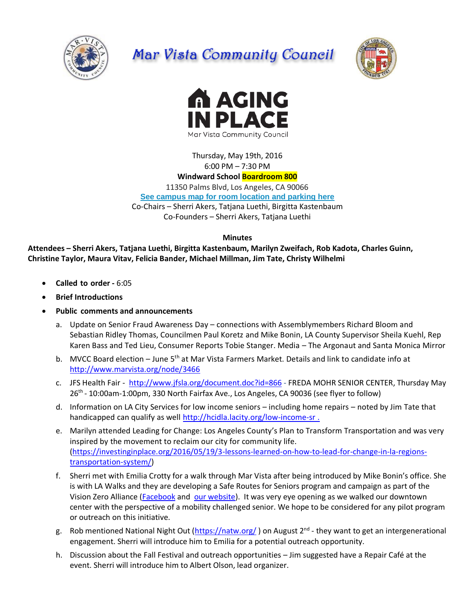

# Mar Vista Community Council





Thursday, May 19th, 2016 6:00 PM – 7:30 PM

# **Windward School Boardroom 800**

11350 Palms Blvd, Los Angeles, CA 90066 **[See campus map for room location and parking here](https://windwardschool.myschoolapp.com/ftpimages/176/download/download_1671327.pdf)**

Co-Chairs – Sherri Akers, Tatjana Luethi, Birgitta Kastenbaum Co-Founders – Sherri Akers, Tatjana Luethi

**Minutes**

**Attendees – Sherri Akers, Tatjana Luethi, Birgitta Kastenbaum, Marilyn Zweifach, Rob Kadota, Charles Guinn, Christine Taylor, Maura Vitav, Felicia Bander, Michael Millman, Jim Tate, Christy Wilhelmi**

- **Called to order -** 6:05
- **Brief Introductions**
- **Public comments and announcements**
	- a. Update on Senior Fraud Awareness Day connections with Assemblymembers Richard Bloom and Sebastian Ridley Thomas, Councilmen Paul Koretz and Mike Bonin, LA County Supervisor Sheila Kuehl, Rep Karen Bass and Ted Lieu, Consumer Reports Tobie Stanger. Media – The Argonaut and Santa Monica Mirror
	- b. MVCC Board election June 5<sup>th</sup> at Mar Vista Farmers Market. Details and link to candidate info at <http://www.marvista.org/node/3466>
	- c. JFS Health Fair <http://www.jfsla.org/document.doc?id=866> FREDA MOHR SENIOR CENTER, Thursday May 26<sup>th</sup> - 10:00am-1:00pm, 330 North Fairfax Ave., Los Angeles, CA 90036 (see flyer to follow)
	- d. Information on LA City Services for low income seniors including home repairs noted by Jim Tate that handicapped can qualify as well<http://hcidla.lacity.org/low-income-sr>.
	- e. Marilyn attended Leading for Change: Los Angeles County's Plan to Transform Transportation and was very inspired by the movement to reclaim our city for community life. [\(https://investinginplace.org/2016/05/19/3-lessons-learned-on-how-to-lead-for-change-in-la-regions](https://investinginplace.org/2016/05/19/3-lessons-learned-on-how-to-lead-for-change-in-la-regions-transportation-system/)[transportation-system/\)](https://investinginplace.org/2016/05/19/3-lessons-learned-on-how-to-lead-for-change-in-la-regions-transportation-system/)
	- f. Sherri met with Emilia Crotty for a walk through Mar Vista after being introduced by Mike Bonin's office. She is with LA Walks and they are developing a Safe Routes for Seniors program and campaign as part of the Vision Zero Alliance [\(Facebook](https://www.facebook.com/LAvisionzero/photos) and [our website\)](http://www.visionzeroalliance.org/). It was very eye opening as we walked our downtown center with the perspective of a mobility challenged senior. We hope to be considered for any pilot program or outreach on this initiative.
	- g. Rob mentioned National Night Out [\(https://natw.org/](https://natw.org/)) on August 2<sup>nd</sup> they want to get an intergenerational engagement. Sherri will introduce him to Emilia for a potential outreach opportunity.
	- h. Discussion about the Fall Festival and outreach opportunities Jim suggested have a Repair Café at the event. Sherri will introduce him to Albert Olson, lead organizer.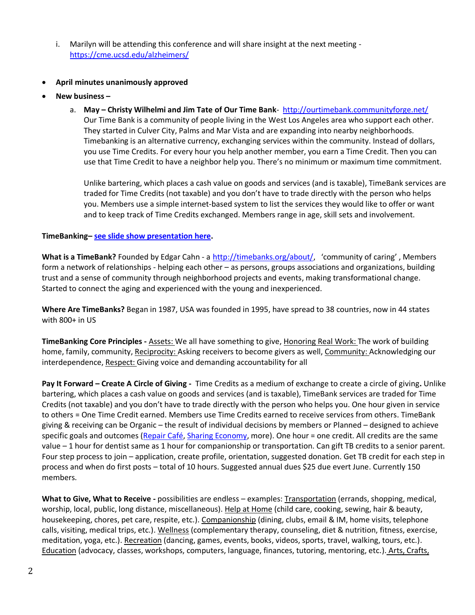i. Marilyn will be attending this conference and will share insight at the next meeting <https://cme.ucsd.edu/alzheimers/>

#### **April minutes unanimously approved**

- **New business –**
	- a. **May – Christy Wilhelmi and Jim Tate of Our Time Bank**-<http://ourtimebank.communityforge.net/> Our Time Bank is a community of people living in the West Los Angeles area who support each other. They started in Culver City, Palms and Mar Vista and are expanding into nearby neighborhoods. Timebanking is an alternative currency, exchanging services within the community. Instead of dollars, you use Time Credits. For every hour you help another member, you earn a Time Credit. Then you can use that Time Credit to have a neighbor help you. There's no minimum or maximum time commitment.

Unlike bartering, which places a cash value on goods and services (and is taxable), TimeBank services are traded for Time Credits (not taxable) and you don't have to trade directly with the person who helps you. Members use a simple internet-based system to list the services they would like to offer or want and to keep track of Time Credits exchanged. Members range in age, skill sets and involvement.

## **TimeBanking– [see slide show presentation here.](http://www.marvista.org/files/TimeBank%20Overview%202016.pdf)**

What is a TimeBank? Founded by Edgar Cahn - a [http://timebanks.org/about/,](http://timebanks.org/about/) 'community of caring', Members form a network of relationships - helping each other – as persons, groups associations and organizations, building trust and a sense of community through neighborhood projects and events, making transformational change. Started to connect the aging and experienced with the young and inexperienced.

**Where Are TimeBanks?** Began in 1987, USA was founded in 1995, have spread to 38 countries, now in 44 states with 800+ in US

**TimeBanking Core Principles -** Assets: We all have something to give, Honoring Real Work: The work of building home, family, community, Reciprocity: Asking receivers to become givers as well, Community: Acknowledging our interdependence, Respect: Giving voice and demanding accountability for all

**Pay It Forward – Create A Circle of Giving -** Time Credits as a medium of exchange to create a circle of giving**.** Unlike bartering, which places a cash value on goods and services (and is taxable), TimeBank services are traded for Time Credits (not taxable) and you don't have to trade directly with the person who helps you. One hour given in service to others = One Time Credit earned. Members use Time Credits earned to receive services from others. TimeBank giving & receiving can be Organic – the result of individual decisions by members or Planned – designed to achieve specific goals and outcomes [\(Repair Café,](http://ourtimebank.communityforge.net/Westside%20Repair%20Caf%C3%A9%20Home%20Page) [Sharing Economy,](http://ourtimebank.communityforge.net/share) more). One hour = one credit. All credits are the same value – 1 hour for dentist same as 1 hour for companionship or transportation. Can gift TB credits to a senior parent. Four step process to join – application, create profile, orientation, suggested donation. Get TB credit for each step in process and when do first posts – total of 10 hours. Suggested annual dues \$25 due evert June. Currently 150 members.

**What to Give, What to Receive -** possibilities are endless – examples: Transportation (errands, shopping, medical, worship, local, public, long distance, miscellaneous). Help at Home (child care, cooking, sewing, hair & beauty, housekeeping, chores, pet care, respite, etc.). Companionship (dining, clubs, email & IM, home visits, telephone calls, visiting, medical trips, etc.). Wellness (complementary therapy, counseling, diet & nutrition, fitness, exercise, meditation, yoga, etc.). Recreation (dancing, games, events, books, videos, sports, travel, walking, tours, etc.). Education (advocacy, classes, workshops, computers, language, finances, tutoring, mentoring, etc.). Arts, Crafts,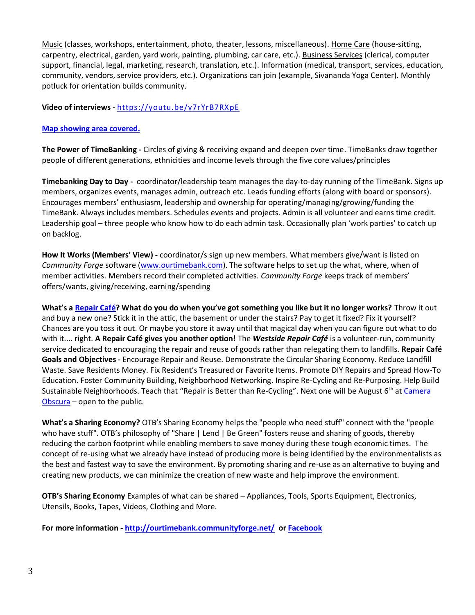Music (classes, workshops, entertainment, photo, theater, lessons, miscellaneous). Home Care (house-sitting, carpentry, electrical, garden, yard work, painting, plumbing, car care, etc.). Business Services (clerical, computer support, financial, legal, marketing, research, translation, etc.). Information (medical, transport, services, education, community, vendors, service providers, etc.). Organizations can join (example, Sivananda Yoga Center). Monthly potluck for orientation builds community.

## **Video of interviews -** <https://youtu.be/v7rYrB7RXpE>

#### **[Map showing area covered.](https://drive.google.com/file/d/0B24t6h19K3jUZElwTGt4WUJSd2c/view)**

**The Power of TimeBanking -** Circles of giving & receiving expand and deepen over time. TimeBanks draw together people of different generations, ethnicities and income levels through the five core values/principles

**Timebanking Day to Day -** coordinator/leadership team manages the day-to-day running of the TimeBank. Signs up members, organizes events, manages admin, outreach etc. Leads funding efforts (along with board or sponsors). Encourages members' enthusiasm, leadership and ownership for operating/managing/growing/funding the TimeBank. Always includes members. Schedules events and projects. Admin is all volunteer and earns time credit. Leadership goal – three people who know how to do each admin task. Occasionally plan 'work parties' to catch up on backlog.

**How It Works (Members' View) -** coordinator/s sign up new members. What members give/want is listed on *Community Forge* software [\(www.ourtimebank.com\)](http://www.ourtimebank.com/). The software helps to set up the what, where, when of member activities. Members record their completed activities. *Community Forge* keeps track of members' offers/wants, giving/receiving, earning/spending

**What's a [Repair Café?](http://ourtimebank.communityforge.net/Westside%20Repair%20Caf%C3%A9%20Home%20Page) What do you do when you've got something you like but it no longer works?** Throw it out and buy a new one? Stick it in the attic, the basement or under the stairs? Pay to get it fixed? Fix it yourself? Chances are you toss it out. Or maybe you store it away until that magical day when you can figure out what to do with it.... right. **A Repair Café gives you another option!** The *Westside Repair Café* is a volunteer-run, community service dedicated to encouraging the repair and reuse of goods rather than relegating them to landfills. **Repair Café Goals and Objectives -** Encourage Repair and Reuse. Demonstrate the Circular Sharing Economy. Reduce Landfill Waste. Save Residents Money. Fix Resident's Treasured or Favorite Items. Promote DIY Repairs and Spread How-To Education. Foster Community Building, Neighborhood Networking. Inspire Re-Cycling and Re-Purposing. Help Build Sustainable Neighborhoods. Teach that "Repair is Better than Re-Cycling". Next one will be August 6<sup>th</sup> at Camera [Obscura](http://www.atlasobscura.com/places/camera-obscura-santa-monica) – open to the public.

**What's a Sharing Economy?** OTB's Sharing Economy helps the "people who need stuff" connect with the "people who have stuff". OTB's philosophy of "Share | Lend | Be Green" fosters reuse and sharing of goods, thereby reducing the carbon footprint while enabling members to save money during these tough economic times. The concept of re-using what we already have instead of producing more is being identified by the environmentalists as the best and fastest way to save the environment. By promoting sharing and re-use as an alternative to buying and creating new products, we can minimize the creation of new waste and help improve the environment.

**OTB's Sharing Economy** Examples of what can be shared – Appliances, Tools, Sports Equipment, Electronics, Utensils, Books, Tapes, Videos, Clothing and More.

**For more information - <http://ourtimebank.communityforge.net/> o[r Facebook](https://www.facebook.com/OurTimeBank/?fref=ts)**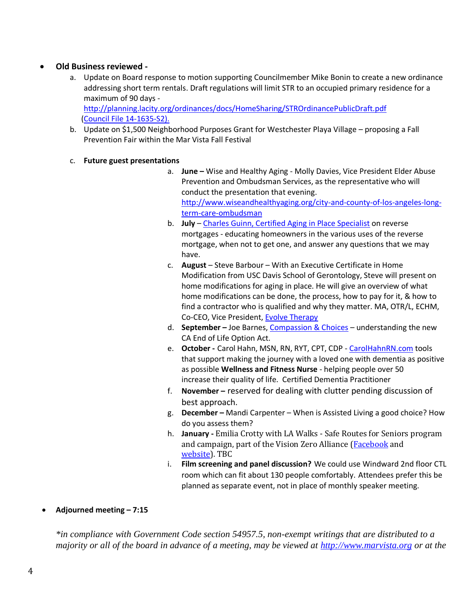# **Old Business reviewed -**

- a. Update on Board response to motion supporting Councilmember Mike Bonin to create a new ordinance addressing short term rentals. Draft regulations will limit STR to an occupied primary residence for a maximum of 90 days <http://planning.lacity.org/ordinances/docs/HomeSharing/STROrdinancePublicDraft.pdf>
- b. Update on \$1,500 Neighborhood Purposes Grant for Westchester Playa Village proposing a Fall Prevention Fair within the Mar Vista Fall Festival
- c. **Future guest presentations**

[\(Council File](https://cityclerk.lacity.org/lacityclerkconnect/index.cfm?fa=ccfi.viewrecord&cfnumber=14-1635-S2) 14-1635-S2).

- a. **June –** Wise and Healthy Aging Molly Davies, Vice President Elder Abuse Prevention and Ombudsman Services, as the representative who will conduct the presentation that evening. [http://www.wiseandhealthyaging.org/city-and-county-of-los-angeles-long](http://www.wiseandhealthyaging.org/city-and-county-of-los-angeles-long-term-care-ombudsman)[term-care-ombudsman](http://www.wiseandhealthyaging.org/city-and-county-of-los-angeles-long-term-care-ombudsman)
- b. **July**  [Charles Guinn, Certified Aging in Place Specialist](http://www.charlesguinn.com/) on reverse mortgages - educating homeowners in the various uses of the reverse mortgage, when not to get one, and answer any questions that we may have.
- c. **August**  Steve Barbour With an Executive Certificate in Home Modification from USC Davis School of Gerontology, Steve will present on home modifications for aging in place. He will give an overview of what home modifications can be done, the process, how to pay for it, & how to find a contractor who is qualified and why they matter. MA, OTR/L, ECHM, Co-CEO, Vice President, [Evolve Therapy](http://www.evolvetherapy.us/)
- d. **September –** Joe Barnes, [Compassion & Choices](https://www.compassionandchoices.org/) understanding the new CA End of Life Option Act.
- e. **October -** Carol Hahn, MSN, RN, RYT, CPT, CDP [CarolHahnRN.com](http://carolhahnrn.com/) tools that support making the journey with a loved one with dementia as positive as possible **Wellness and Fitness Nurse** - helping people over 50 increase their quality of life. Certified Dementia Practitioner
- f. **November –** reserved for dealing with clutter pending discussion of best approach.
- g. **December –** Mandi Carpenter When is Assisted Living a good choice? How do you assess them?
- h. **January -** Emilia Crotty with LA Walks Safe Routes for Seniors program and campaign, part of the Vision Zero Alliance (**Facebook** and [website\)](http://www.visionzeroalliance.org/). TBC
- i. **Film screening and panel discussion?** We could use Windward 2nd floor CTL room which can fit about 130 people comfortably. Attendees prefer this be planned as separate event, not in place of monthly speaker meeting.
- **Adjourned meeting – 7:15**

*\*in compliance with Government Code section 54957.5, non-exempt writings that are distributed to a majority or all of the board in advance of a meeting, may be viewed at [http://www.marvista.org](http://www.marvista.org/) or at the*